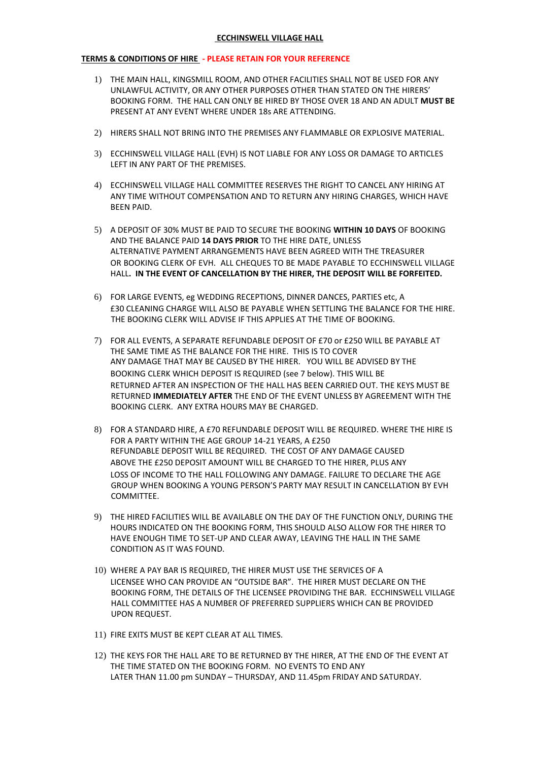## **ECCHINSWELL VILLAGE HALL**

## **TERMS & CONDITIONS OF HIRE - PLEASE RETAIN FOR YOUR REFERENCE**

- 1) THE MAIN HALL, KINGSMILL ROOM, AND OTHER FACILITIES SHALL NOT BE USED FOR ANY UNLAWFUL ACTIVITY, OR ANY OTHER PURPOSES OTHER THAN STATED ON THE HIRERS' BOOKING FORM. THE HALL CAN ONLY BE HIRED BY THOSE OVER 18 AND AN ADULT **MUST BE** PRESENT AT ANY EVENT WHERE UNDER 18s ARE ATTENDING.
- 2) HIRERS SHALL NOT BRING INTO THE PREMISES ANY FLAMMABLE OR EXPLOSIVE MATERIAL.
- 3) ECCHINSWELL VILLAGE HALL (EVH) IS NOT LIABLE FOR ANY LOSS OR DAMAGE TO ARTICLES LEFT IN ANY PART OF THE PREMISES.
- 4) ECCHINSWELL VILLAGE HALL COMMITTEE RESERVES THE RIGHT TO CANCEL ANY HIRING AT ANY TIME WITHOUT COMPENSATION AND TO RETURN ANY HIRING CHARGES, WHICH HAVE BEEN PAID.
- 5) A DEPOSIT OF 30% MUST BE PAID TO SECURE THE BOOKING **WITHIN 10 DAYS** OF BOOKING AND THE BALANCE PAID **14 DAYS PRIOR** TO THE HIRE DATE, UNLESS ALTERNATIVE PAYMENT ARRANGEMENTS HAVE BEEN AGREED WITH THE TREASURER OR BOOKING CLERK OF EVH. ALL CHEQUES TO BE MADE PAYABLE TO ECCHINSWELL VILLAGE HALL**. IN THE EVENT OF CANCELLATION BY THE HIRER, THE DEPOSIT WILL BE FORFEITED.**
- 6) FOR LARGE EVENTS, eg WEDDING RECEPTIONS, DINNER DANCES, PARTIES etc, A £30 CLEANING CHARGE WILL ALSO BE PAYABLE WHEN SETTLING THE BALANCE FOR THE HIRE. THE BOOKING CLERK WILL ADVISE IF THIS APPLIES AT THE TIME OF BOOKING.
- 7) FOR ALL EVENTS, A SEPARATE REFUNDABLE DEPOSIT OF £70 or £250 WILL BE PAYABLE AT THE SAME TIME AS THE BALANCE FOR THE HIRE. THIS IS TO COVER ANY DAMAGE THAT MAY BE CAUSED BY THE HIRER. YOU WILL BE ADVISED BY THE BOOKING CLERK WHICH DEPOSIT IS REQUIRED (see 7 below). THIS WILL BE RETURNED AFTER AN INSPECTION OF THE HALL HAS BEEN CARRIED OUT. THE KEYS MUST BE RETURNED **IMMEDIATELY AFTER** THE END OF THE EVENT UNLESS BY AGREEMENT WITH THE BOOKING CLERK. ANY EXTRA HOURS MAY BE CHARGED.
- 8) FOR A STANDARD HIRE, A £70 REFUNDABLE DEPOSIT WILL BE REQUIRED. WHERE THE HIRE IS FOR A PARTY WITHIN THE AGE GROUP 14-21 YEARS, A £250 REFUNDABLE DEPOSIT WILL BE REQUIRED. THE COST OF ANY DAMAGE CAUSED ABOVE THE £250 DEPOSIT AMOUNT WILL BE CHARGED TO THE HIRER, PLUS ANY LOSS OF INCOME TO THE HALL FOLLOWING ANY DAMAGE. FAILURE TO DECLARE THE AGE GROUP WHEN BOOKING A YOUNG PERSON'S PARTY MAY RESULT IN CANCELLATION BY EVH COMMITTEE.
- 9) THE HIRED FACILITIES WILL BE AVAILABLE ON THE DAY OF THE FUNCTION ONLY, DURING THE HOURS INDICATED ON THE BOOKING FORM, THIS SHOULD ALSO ALLOW FOR THE HIRER TO HAVE ENOUGH TIME TO SET-UP AND CLEAR AWAY, LEAVING THE HALL IN THE SAME CONDITION AS IT WAS FOUND.
- 10) WHERE A PAY BAR IS REQUIRED, THE HIRER MUST USE THE SERVICES OF A LICENSEE WHO CAN PROVIDE AN "OUTSIDE BAR". THE HIRER MUST DECLARE ON THE BOOKING FORM, THE DETAILS OF THE LICENSEE PROVIDING THE BAR. ECCHINSWELL VILLAGE HALL COMMITTEE HAS A NUMBER OF PREFERRED SUPPLIERS WHICH CAN BE PROVIDED UPON REQUEST.
- 11) FIRE EXITS MUST BE KEPT CLEAR AT ALL TIMES.
- 12) THE KEYS FOR THE HALL ARE TO BE RETURNED BY THE HIRER, AT THE END OF THE EVENT AT THE TIME STATED ON THE BOOKING FORM. NO EVENTS TO END ANY LATER THAN 11.00 pm SUNDAY – THURSDAY, AND 11.45pm FRIDAY AND SATURDAY.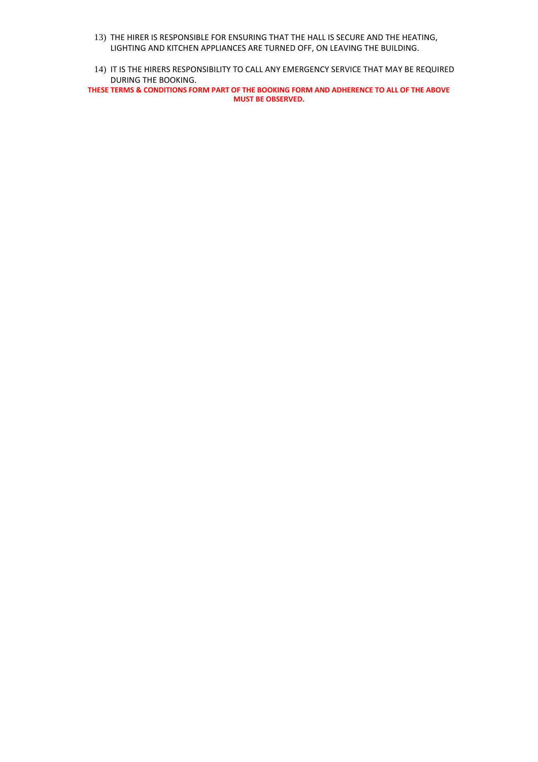- 13) THE HIRER IS RESPONSIBLE FOR ENSURING THAT THE HALL IS SECURE AND THE HEATING, LIGHTING AND KITCHEN APPLIANCES ARE TURNED OFF, ON LEAVING THE BUILDING.
- 14) IT IS THE HIRERS RESPONSIBILITY TO CALL ANY EMERGENCY SERVICE THAT MAY BE REQUIRED DURING THE BOOKING.

**THESE TERMS & CONDITIONS FORM PART OF THE BOOKING FORM AND ADHERENCE TO ALL OF THE ABOVE MUST BE OBSERVED.**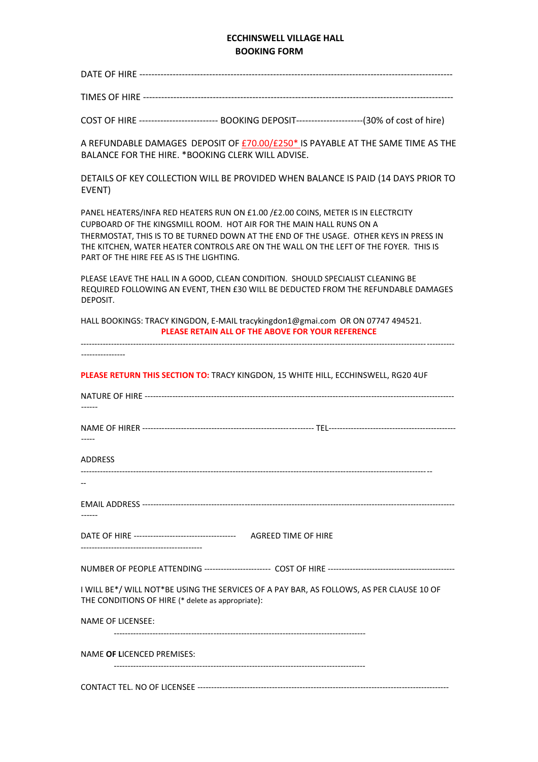## **ECCHINSWELL VILLAGE HALL BOOKING FORM**

| COST OF HIRE --------------------------- BOOKING DEPOSIT-----------------------(30% of cost of hire)                                                                                                                                                                                                                                                                                  |
|---------------------------------------------------------------------------------------------------------------------------------------------------------------------------------------------------------------------------------------------------------------------------------------------------------------------------------------------------------------------------------------|
| A REFUNDABLE DAMAGES DEPOSIT OF £70.00/£250* IS PAYABLE AT THE SAME TIME AS THE<br>BALANCE FOR THE HIRE. * BOOKING CLERK WILL ADVISE.                                                                                                                                                                                                                                                 |
| DETAILS OF KEY COLLECTION WILL BE PROVIDED WHEN BALANCE IS PAID (14 DAYS PRIOR TO<br>EVENT)                                                                                                                                                                                                                                                                                           |
| PANEL HEATERS/INFA RED HEATERS RUN ON £1.00 / £2.00 COINS, METER IS IN ELECTRCITY<br>CUPBOARD OF THE KINGSMILL ROOM. HOT AIR FOR THE MAIN HALL RUNS ON A<br>THERMOSTAT, THIS IS TO BE TURNED DOWN AT THE END OF THE USAGE. OTHER KEYS IN PRESS IN<br>THE KITCHEN, WATER HEATER CONTROLS ARE ON THE WALL ON THE LEFT OF THE FOYER. THIS IS<br>PART OF THE HIRE FEE AS IS THE LIGHTING. |
| PLEASE LEAVE THE HALL IN A GOOD, CLEAN CONDITION. SHOULD SPECIALIST CLEANING BE<br>REQUIRED FOLLOWING AN EVENT, THEN £30 WILL BE DEDUCTED FROM THE REFUNDABLE DAMAGES<br>DEPOSIT.                                                                                                                                                                                                     |
| HALL BOOKINGS: TRACY KINGDON, E-MAIL tracykingdon1@gmai.com OR ON 07747 494521.<br>PLEASE RETAIN ALL OF THE ABOVE FOR YOUR REFERENCE                                                                                                                                                                                                                                                  |
|                                                                                                                                                                                                                                                                                                                                                                                       |
| PLEASE RETURN THIS SECTION TO: TRACY KINGDON, 15 WHITE HILL, ECCHINSWELL, RG20 4UF                                                                                                                                                                                                                                                                                                    |
|                                                                                                                                                                                                                                                                                                                                                                                       |
|                                                                                                                                                                                                                                                                                                                                                                                       |
| ADDRESS                                                                                                                                                                                                                                                                                                                                                                               |
|                                                                                                                                                                                                                                                                                                                                                                                       |
|                                                                                                                                                                                                                                                                                                                                                                                       |
|                                                                                                                                                                                                                                                                                                                                                                                       |
|                                                                                                                                                                                                                                                                                                                                                                                       |
| I WILL BE*/ WILL NOT*BE USING THE SERVICES OF A PAY BAR, AS FOLLOWS, AS PER CLAUSE 10 OF<br>THE CONDITIONS OF HIRE (* delete as appropriate):                                                                                                                                                                                                                                         |
| <b>NAME OF LICENSEE:</b>                                                                                                                                                                                                                                                                                                                                                              |
| NAME OF LICENCED PREMISES:                                                                                                                                                                                                                                                                                                                                                            |
|                                                                                                                                                                                                                                                                                                                                                                                       |